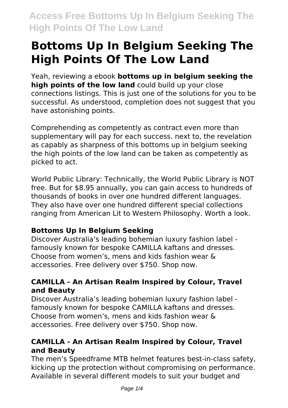# **Bottoms Up In Belgium Seeking The High Points Of The Low Land**

Yeah, reviewing a ebook **bottoms up in belgium seeking the high points of the low land** could build up your close connections listings. This is just one of the solutions for you to be successful. As understood, completion does not suggest that you have astonishing points.

Comprehending as competently as contract even more than supplementary will pay for each success. next to, the revelation as capably as sharpness of this bottoms up in belgium seeking the high points of the low land can be taken as competently as picked to act.

World Public Library: Technically, the World Public Library is NOT free. But for \$8.95 annually, you can gain access to hundreds of thousands of books in over one hundred different languages. They also have over one hundred different special collections ranging from American Lit to Western Philosophy. Worth a look.

### **Bottoms Up In Belgium Seeking**

Discover Australia's leading bohemian luxury fashion label famously known for bespoke CAMILLA kaftans and dresses. Choose from women's, mens and kids fashion wear & accessories. Free delivery over \$750. Shop now.

### **CAMILLA - An Artisan Realm Inspired by Colour, Travel and Beauty**

Discover Australia's leading bohemian luxury fashion label famously known for bespoke CAMILLA kaftans and dresses. Choose from women's, mens and kids fashion wear & accessories. Free delivery over \$750. Shop now.

### **CAMILLA - An Artisan Realm Inspired by Colour, Travel and Beauty**

The men's Speedframe MTB helmet features best-in-class safety, kicking up the protection without compromising on performance. Available in several different models to suit your budget and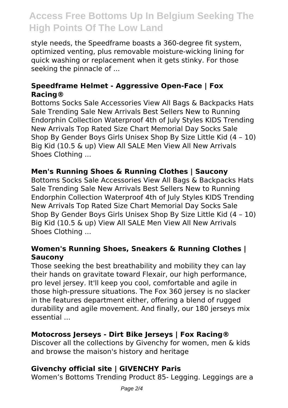style needs, the Speedframe boasts a 360-degree fit system, optimized venting, plus removable moisture-wicking lining for quick washing or replacement when it gets stinky. For those seeking the pinnacle of ...

### **Speedframe Helmet - Aggressive Open-Face | Fox Racing®**

Bottoms Socks Sale Accessories View All Bags & Backpacks Hats Sale Trending Sale New Arrivals Best Sellers New to Running Endorphin Collection Waterproof 4th of July Styles KIDS Trending New Arrivals Top Rated Size Chart Memorial Day Socks Sale Shop By Gender Boys Girls Unisex Shop By Size Little Kid (4 – 10) Big Kid (10.5 & up) View All SALE Men View All New Arrivals Shoes Clothing ...

### **Men's Running Shoes & Running Clothes | Saucony**

Bottoms Socks Sale Accessories View All Bags & Backpacks Hats Sale Trending Sale New Arrivals Best Sellers New to Running Endorphin Collection Waterproof 4th of July Styles KIDS Trending New Arrivals Top Rated Size Chart Memorial Day Socks Sale Shop By Gender Boys Girls Unisex Shop By Size Little Kid (4 – 10) Big Kid (10.5 & up) View All SALE Men View All New Arrivals Shoes Clothing ...

### **Women's Running Shoes, Sneakers & Running Clothes | Saucony**

Those seeking the best breathability and mobility they can lay their hands on gravitate toward Flexair, our high performance, pro level jersey. It'll keep you cool, comfortable and agile in those high-pressure situations. The Fox 360 jersey is no slacker in the features department either, offering a blend of rugged durability and agile movement. And finally, our 180 jerseys mix essential ...

### **Motocross Jerseys - Dirt Bike Jerseys | Fox Racing®**

Discover all the collections by Givenchy for women, men & kids and browse the maison's history and heritage

### **Givenchy official site | GIVENCHY Paris**

Women's Bottoms Trending Product 85- Legging. Leggings are a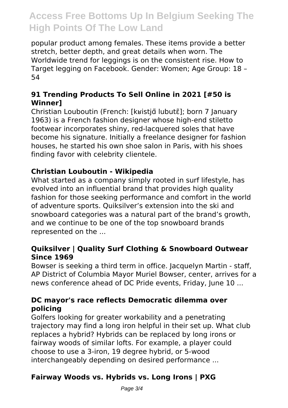popular product among females. These items provide a better stretch, better depth, and great details when worn. The Worldwide trend for leggings is on the consistent rise. How to Target legging on Facebook. Gender: Women; Age Group: 18 – 54

### **91 Trending Products To Sell Online in 2021 [#50 is Winner]**

Christian Louboutin (French: [kʁistjɑ̃ lubutɛ̃]; born 7 January 1963) is a French fashion designer whose high-end stiletto footwear incorporates shiny, red-lacquered soles that have become his signature. Initially a freelance designer for fashion houses, he started his own shoe salon in Paris, with his shoes finding favor with celebrity clientele.

### **Christian Louboutin - Wikipedia**

What started as a company simply rooted in surf lifestyle, has evolved into an influential brand that provides high quality fashion for those seeking performance and comfort in the world of adventure sports. Quiksilver's extension into the ski and snowboard categories was a natural part of the brand's growth, and we continue to be one of the top snowboard brands represented on the ...

### **Quiksilver | Quality Surf Clothing & Snowboard Outwear Since 1969**

Bowser is seeking a third term in office. Jacquelyn Martin - staff, AP District of Columbia Mayor Muriel Bowser, center, arrives for a news conference ahead of DC Pride events, Friday, June 10 ...

### **DC mayor's race reflects Democratic dilemma over policing**

Golfers looking for greater workability and a penetrating trajectory may find a long iron helpful in their set up. What club replaces a hybrid? Hybrids can be replaced by long irons or fairway woods of similar lofts. For example, a player could choose to use a 3-iron, 19 degree hybrid, or 5-wood interchangeably depending on desired performance ...

### **Fairway Woods vs. Hybrids vs. Long Irons | PXG**